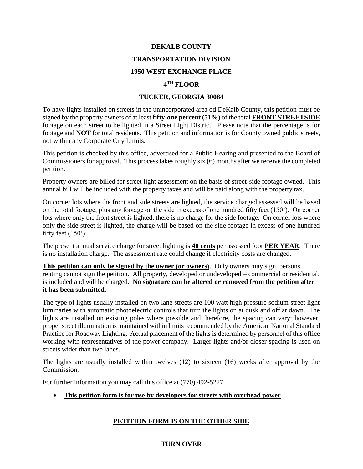#### **DEKALB COUNTY**

#### **TRANSPORTATION DIVISION**

#### **1950 WEST EXCHANGE PLACE**

#### **4 TH FLOOR**

#### **TUCKER, GEORGIA 30084**

To have lights installed on streets in the unincorporated area od DeKalb County, this petition must be signed by the property owners of at least **fifty-one percent (51%)** of the total **FRONT STREETSIDE**  footage on each street to be lighted in a Street Light District. Please note that the percentage is for footage and **NOT** for total residents. This petition and information is for County owned public streets, not within any Corporate City Limits.

This petition is checked by this office, advertised for a Public Hearing and presented to the Board of Commissioners for approval. This process takes roughly six (6) months after we receive the completed petition.

Property owners are billed for street light assessment on the basis of street-side footage owned. This annual bill will be included with the property taxes and will be paid along with the property tax.

On corner lots where the front and side streets are lighted, the service charged assessed will be based on the total footage, plus any footage on the side in excess of one hundred fifty feet (150'). On corner lots where only the front street is lighted, there is no charge for the side footage. On corner lots where only the side street is lighted, the charge will be based on the side footage in excess of one hundred fifty feet  $(150)$ .

The present annual service charge for street lighting is **40 cents** per assessed foot **PER YEAR**. There is no installation charge. The assessment rate could change if electricity costs are changed.

**This petition can only be signed by the owner (or owners)**. Only owners may sign, persons renting cannot sign the petition. All property, developed or undeveloped – commercial or residential, is included and will be charged. **No signature can be altered or removed from the petition after it has been submitted**.

The type of lights usually installed on two lane streets are 100 watt high pressure sodium street light luminaries with automatic photoelectric controls that turn the lights on at dusk and off at dawn. The lights are installed on existing poles where possible and therefore, the spacing can vary; however, proper street illumination is maintained within limits recommended by the American National Standard Practice for Roadway Lighting. Actual placement of the lights is determined by personnel of this office working with representatives of the power company. Larger lights and/or closer spacing is used on streets wider than two lanes.

The lights are usually installed within twelves (12) to sixteen (16) weeks after approval by the Commission.

For further information you may call this office at (770) 492-5227.

**This petition form is for use by developers for streets with overhead power**

## **PETITION FORM IS ON THE OTHER SIDE**

## **TURN OVER**